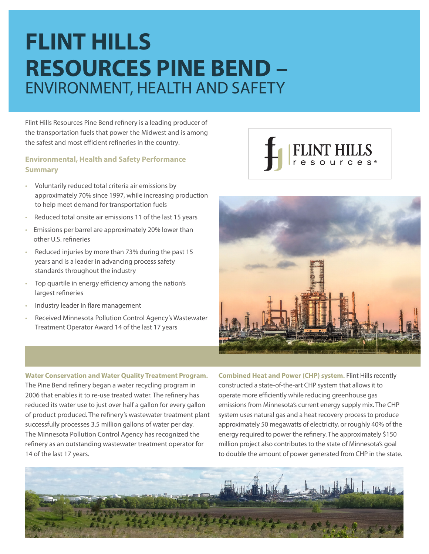# **FLINT HILLS RESOURCES PINE BEND –**  ENVIRONMENT, HEALTH AND SAFETY

Flint Hills Resources Pine Bend refinery is a leading producer of the transportation fuels that power the Midwest and is among the safest and most efficient refineries in the country.

#### **Environmental, Health and Safety Performance Summary**

- Voluntarily reduced total criteria air emissions by approximately 70% since 1997, while increasing production to help meet demand for transportation fuels
- Reduced total onsite air emissions 11 of the last 15 years
- Emissions per barrel are approximately 20% lower than other U.S. refineries
- Reduced injuries by more than 73% during the past 15 years and is a leader in advancing process safety standards throughout the industry
- Top quartile in energy efficiency among the nation's largest refineries
- Industry leader in flare management
- Received Minnesota Pollution Control Agency's Wastewater Treatment Operator Award 14 of the last 17 years

**Water Conservation and Water Quality Treatment Program.** The Pine Bend refinery began a water recycling program in 2006 that enables it to re-use treated water. The refinery has reduced its water use to just over half a gallon for every gallon of product produced. The refinery's wastewater treatment plant successfully processes 3.5 million gallons of water per day. The Minnesota Pollution Control Agency has recognized the refinery as an outstanding wastewater treatment operator for 14 of the last 17 years.





**Combined Heat and Power (CHP) system.** Flint Hills recently constructed a state-of-the-art CHP system that allows it to operate more efficiently while reducing greenhouse gas emissions from Minnesota's current energy supply mix. The CHP system uses natural gas and a heat recovery process to produce approximately 50 megawatts of electricity, or roughly 40% of the energy required to power the refinery. The approximately \$150 million project also contributes to the state of Minnesota's goal to double the amount of power generated from CHP in the state.